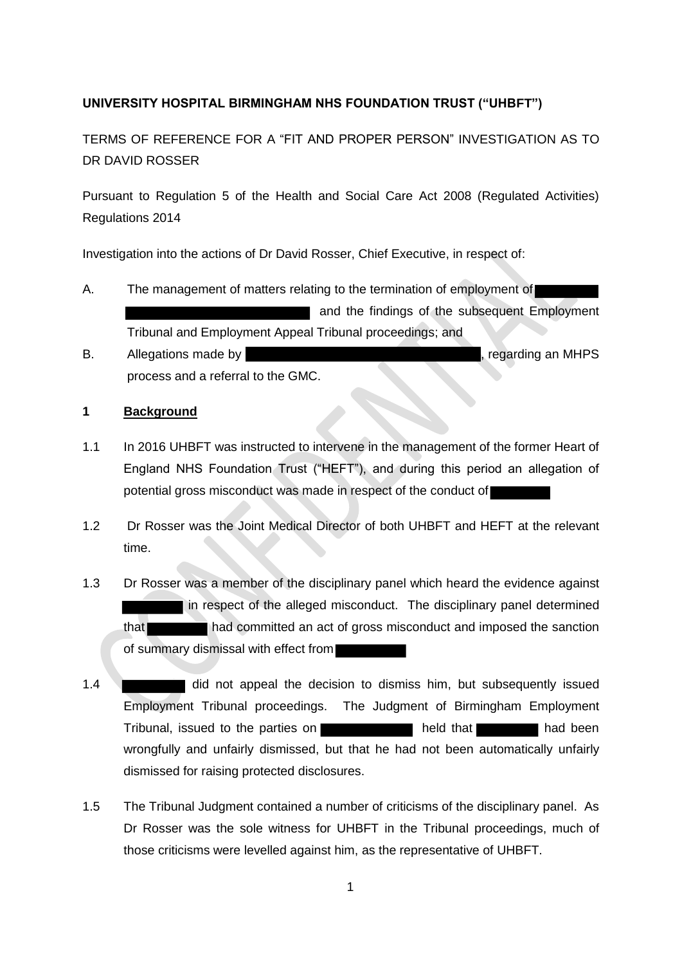# **UNIVERSITY HOSPITAL BIRMINGHAM NHS FOUNDATION TRUST ("UHBFT")**

TERMS OF REFERENCE FOR A "FIT AND PROPER PERSON" INVESTIGATION AS TO DR DAVID ROSSER

Pursuant to Regulation 5 of the Health and Social Care Act 2008 (Regulated Activities) Regulations 2014

Investigation into the actions of Dr David Rosser, Chief Executive, in respect of:

- A. The management of matters relating to the termination of employment of and the findings of the subsequent Employment Tribunal and Employment Appeal Tribunal proceedings; and
- B. Allegations made by  $\blacksquare$ process and a referral to the GMC.

## **1 Background**

- 1.1 In 2016 UHBFT was instructed to intervene in the management of the former Heart of England NHS Foundation Trust ("HEFT"), and during this period an allegation of potential gross misconduct was made in respect of the conduct of
- 1.2 Dr Rosser was the Joint Medical Director of both UHBFT and HEFT at the relevant time.
- 1.3 Dr Rosser was a member of the disciplinary panel which heard the evidence against In respect of the alleged misconduct. The disciplinary panel determined that had committed an act of gross misconduct and imposed the sanction of summary dismissal with effect from
- 1.4 did not appeal the decision to dismiss him, but subsequently issued Employment Tribunal proceedings. The Judgment of Birmingham Employment Tribunal, issued to the parties on **held that had been** had been wrongfully and unfairly dismissed, but that he had not been automatically unfairly dismissed for raising protected disclosures.
- 1.5 The Tribunal Judgment contained a number of criticisms of the disciplinary panel. As Dr Rosser was the sole witness for UHBFT in the Tribunal proceedings, much of those criticisms were levelled against him, as the representative of UHBFT.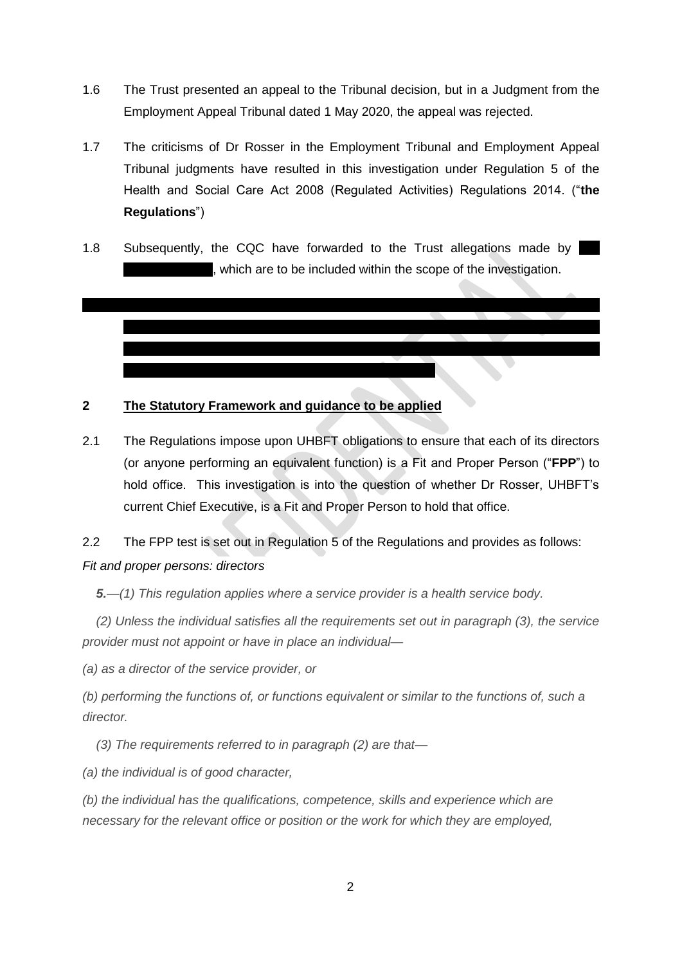- 1.6 The Trust presented an appeal to the Tribunal decision, but in a Judgment from the Employment Appeal Tribunal dated 1 May 2020, the appeal was rejected.
- 1.7 The criticisms of Dr Rosser in the Employment Tribunal and Employment Appeal Tribunal judgments have resulted in this investigation under Regulation 5 of the Health and Social Care Act 2008 (Regulated Activities) Regulations 2014. ("**the Regulations**")
- 1.8 Subsequently, the CQC have forwarded to the Trust allegations made by , which are to be included within the scope of the investigation.



2.1 The Regulations impose upon UHBFT obligations to ensure that each of its directors (or anyone performing an equivalent function) is a Fit and Proper Person ("**FPP**") to hold office. This investigation is into the question of whether Dr Rosser, UHBFT's current Chief Executive, is a Fit and Proper Person to hold that office.

2.2 The FPP test is set out in Regulation 5 of the Regulations and provides as follows:

### *Fit and proper persons: directors*

*5.—(1) This regulation applies where a service provider is a health service body.*

*(2) Unless the individual satisfies all the requirements set out in paragraph (3), the service provider must not appoint or have in place an individual—*

*(a) as a director of the service provider, or*

*(b) performing the functions of, or functions equivalent or similar to the functions of, such a director.*

*(3) The requirements referred to in paragraph (2) are that—*

*(a) the individual is of good character,*

*(b) the individual has the qualifications, competence, skills and experience which are necessary for the relevant office or position or the work for which they are employed,*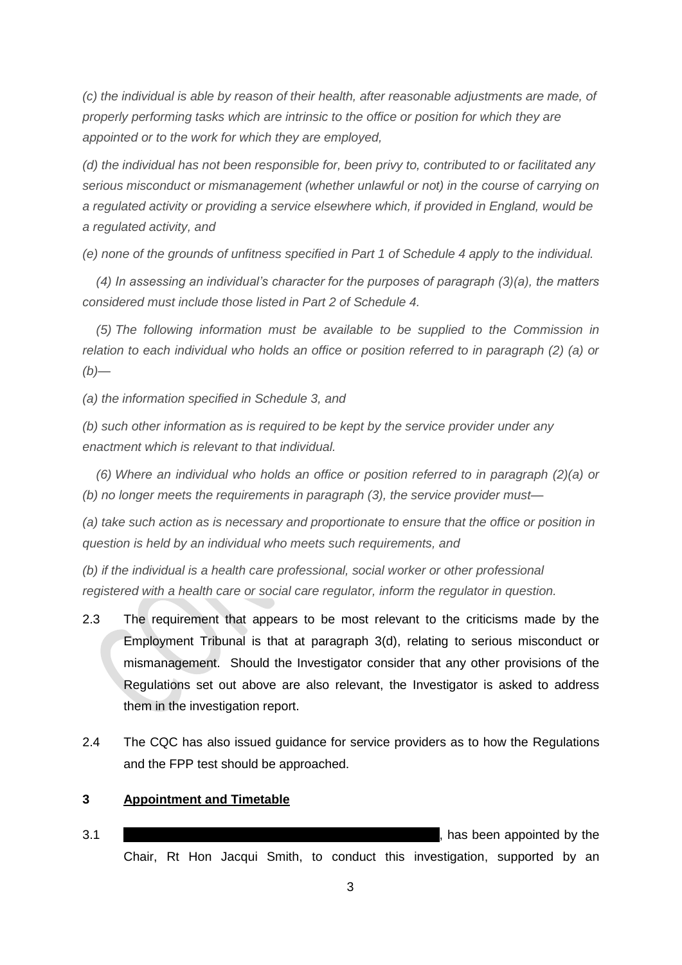*(c) the individual is able by reason of their health, after reasonable adjustments are made, of properly performing tasks which are intrinsic to the office or position for which they are appointed or to the work for which they are employed,*

*(d) the individual has not been responsible for, been privy to, contributed to or facilitated any serious misconduct or mismanagement (whether unlawful or not) in the course of carrying on a regulated activity or providing a service elsewhere which, if provided in England, would be a regulated activity, and*

*(e) none of the grounds of unfitness specified in Part 1 of Schedule 4 apply to the individual.*

*(4) In assessing an individual's character for the purposes of paragraph (3)(a), the matters considered must include those listed in Part 2 of Schedule 4.*

*(5) The following information must be available to be supplied to the Commission in relation to each individual who holds an office or position referred to in paragraph (2) (a) or (b)—*

*(a) the information specified in Schedule 3, and*

*(b) such other information as is required to be kept by the service provider under any enactment which is relevant to that individual.*

*(6) Where an individual who holds an office or position referred to in paragraph (2)(a) or (b) no longer meets the requirements in paragraph (3), the service provider must—*

*(a) take such action as is necessary and proportionate to ensure that the office or position in question is held by an individual who meets such requirements, and*

*(b) if the individual is a health care professional, social worker or other professional registered with a health care or social care regulator, inform the regulator in question.*

- 2.3 The requirement that appears to be most relevant to the criticisms made by the Employment Tribunal is that at paragraph 3(d), relating to serious misconduct or mismanagement. Should the Investigator consider that any other provisions of the Regulations set out above are also relevant, the Investigator is asked to address them in the investigation report.
- 2.4 The CQC has also issued guidance for service providers as to how the Regulations and the FPP test should be approached.

#### **3 Appointment and Timetable**

3.1 **3.1 1.1 1.1 1.1 1.1 1.1 1.1 1.1 1.1 1.1 1.1 1.1 1.1 1.1 1.1 1.1 1.1 1.1 1.1 1.1 1.1 1.1 1.1 1.1 1.1 1.1 1.1 1.1 1.1 1.1 1.1 1.1 1.1 1.1 1.1 1.1 1** Chair, Rt Hon Jacqui Smith, to conduct this investigation, supported by an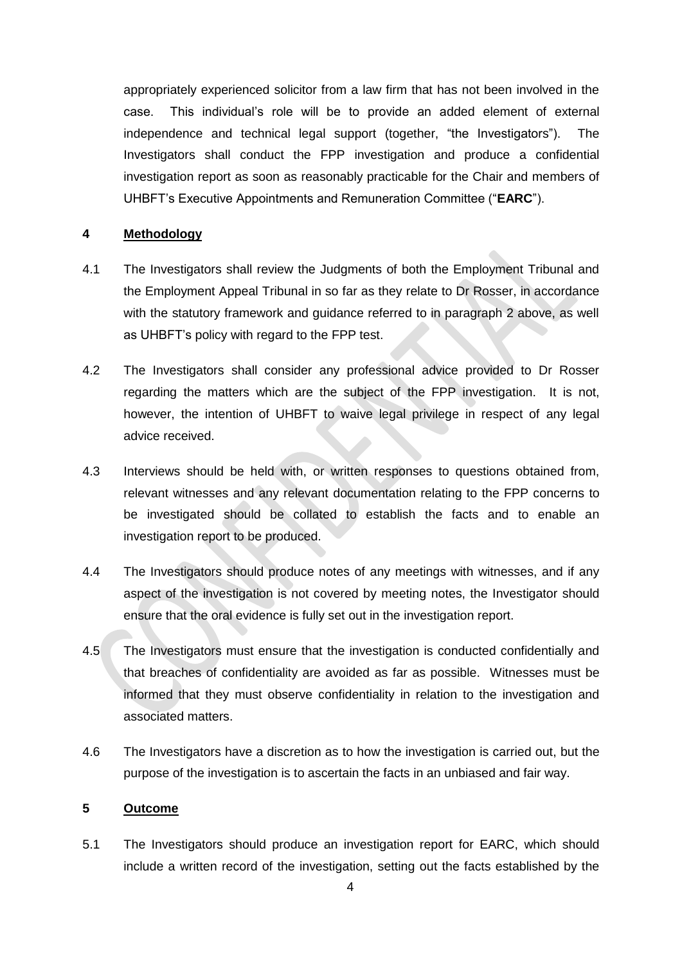appropriately experienced solicitor from a law firm that has not been involved in the case. This individual's role will be to provide an added element of external independence and technical legal support (together, "the Investigators"). The Investigators shall conduct the FPP investigation and produce a confidential investigation report as soon as reasonably practicable for the Chair and members of UHBFT's Executive Appointments and Remuneration Committee ("**EARC**").

#### **4 Methodology**

- 4.1 The Investigators shall review the Judgments of both the Employment Tribunal and the Employment Appeal Tribunal in so far as they relate to Dr Rosser, in accordance with the statutory framework and guidance referred to in paragraph 2 above, as well as UHBFT's policy with regard to the FPP test.
- 4.2 The Investigators shall consider any professional advice provided to Dr Rosser regarding the matters which are the subject of the FPP investigation. It is not, however, the intention of UHBFT to waive legal privilege in respect of any legal advice received.
- 4.3 Interviews should be held with, or written responses to questions obtained from, relevant witnesses and any relevant documentation relating to the FPP concerns to be investigated should be collated to establish the facts and to enable an investigation report to be produced.
- 4.4 The Investigators should produce notes of any meetings with witnesses, and if any aspect of the investigation is not covered by meeting notes, the Investigator should ensure that the oral evidence is fully set out in the investigation report.
- 4.5 The Investigators must ensure that the investigation is conducted confidentially and that breaches of confidentiality are avoided as far as possible. Witnesses must be informed that they must observe confidentiality in relation to the investigation and associated matters.
- 4.6 The Investigators have a discretion as to how the investigation is carried out, but the purpose of the investigation is to ascertain the facts in an unbiased and fair way.

## **5 Outcome**

5.1 The Investigators should produce an investigation report for EARC, which should include a written record of the investigation, setting out the facts established by the